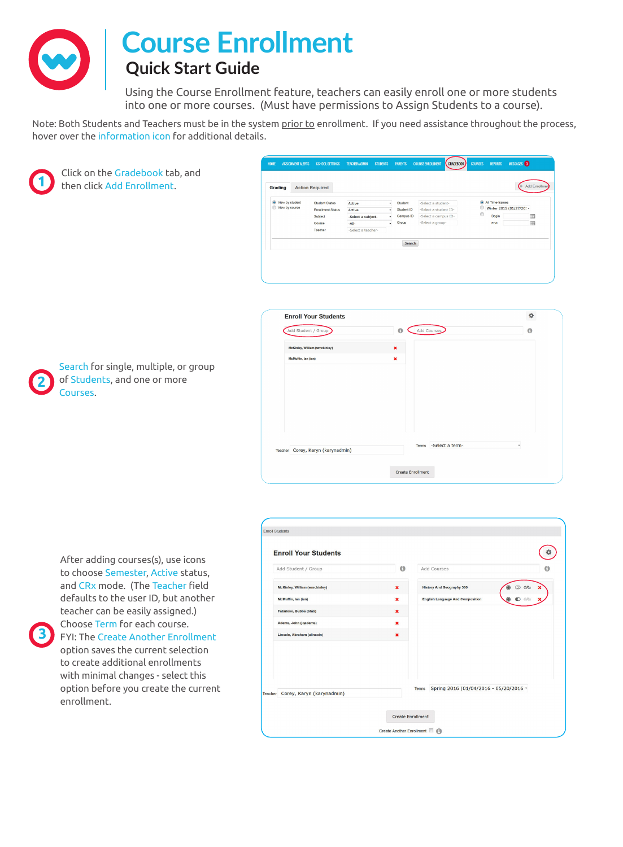

## **Course Enrollment**

## **Quick Start Guide**

Using the Course Enrollment feature, teachers can easily enroll one or more students into one or more courses. (Must have permissions to Assign Students to a course).

Note: Both Students and Teachers must be in the system prior to enrollment. If you need assistance throughout the process, hover over the information icon for additional details.



**2**

**3**

Click on the Gradebook tab, and then click Add Enrollment.

| View by student<br>View by course | <b>Student Status</b>               | Active                       | $\downarrow$<br>٠ | Student<br>Student ID | -Select a student-                            |         | All Time-frames | Winter 2015 (01/27/20: - |   |
|-----------------------------------|-------------------------------------|------------------------------|-------------------|-----------------------|-----------------------------------------------|---------|-----------------|--------------------------|---|
|                                   | <b>Enrollment Status</b><br>Subject | Active<br>-Select a subject- | ٠                 | Campus ID             | -Select a student ID-<br>-Select a campus ID- | $\circ$ | Begin           |                          | m |
|                                   | Course                              | $-All-$                      | ٠                 | Group                 | -Select a group-                              |         | End             |                          | m |
|                                   | Teacher                             | -Select a teacher-           |                   |                       |                                               |         |                 |                          |   |
|                                   |                                     |                              |                   | Search                |                                               |         |                 |                          |   |



of Students, and one or more Courses.

Search for single, multiple, or group

to choose Semester, Active status, and CRx mode. (The Teacher field defaults to the user ID, but another teacher can be easily assigned.) Choose Term for each course. FYI: The Create Another Enrollment option saves the current selection to create additional enrollments with minimal changes - select this option before you create the current enrollment.

After adding courses(s), use icons